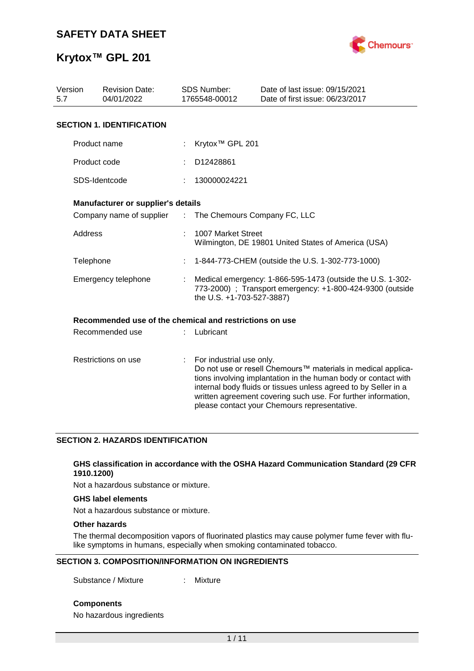

| Version<br>5.7      | <b>Revision Date:</b><br>04/01/2022                     |                | <b>SDS Number:</b><br>1765548-00012                                                                                                                  | Date of last issue: 09/15/2021<br>Date of first issue: 06/23/2017                                                                                                                                                                                                                                                  |  |  |  |
|---------------------|---------------------------------------------------------|----------------|------------------------------------------------------------------------------------------------------------------------------------------------------|--------------------------------------------------------------------------------------------------------------------------------------------------------------------------------------------------------------------------------------------------------------------------------------------------------------------|--|--|--|
|                     | <b>SECTION 1. IDENTIFICATION</b>                        |                |                                                                                                                                                      |                                                                                                                                                                                                                                                                                                                    |  |  |  |
|                     | Product name                                            |                | Krytox <sup>™</sup> GPL 201                                                                                                                          |                                                                                                                                                                                                                                                                                                                    |  |  |  |
|                     | Product code                                            |                | D12428861                                                                                                                                            |                                                                                                                                                                                                                                                                                                                    |  |  |  |
|                     | SDS-Identcode                                           |                | 130000024221                                                                                                                                         |                                                                                                                                                                                                                                                                                                                    |  |  |  |
|                     | Manufacturer or supplier's details                      |                |                                                                                                                                                      |                                                                                                                                                                                                                                                                                                                    |  |  |  |
|                     | Company name of supplier                                | $\mathbb{R}^n$ | The Chemours Company FC, LLC                                                                                                                         |                                                                                                                                                                                                                                                                                                                    |  |  |  |
|                     | Address                                                 |                | 1007 Market Street                                                                                                                                   | Wilmington, DE 19801 United States of America (USA)                                                                                                                                                                                                                                                                |  |  |  |
|                     | Telephone                                               |                |                                                                                                                                                      | 1-844-773-CHEM (outside the U.S. 1-302-773-1000)                                                                                                                                                                                                                                                                   |  |  |  |
|                     | Emergency telephone                                     |                | Medical emergency: 1-866-595-1473 (outside the U.S. 1-302-<br>773-2000) ; Transport emergency: +1-800-424-9300 (outside<br>the U.S. +1-703-527-3887) |                                                                                                                                                                                                                                                                                                                    |  |  |  |
|                     | Recommended use of the chemical and restrictions on use |                |                                                                                                                                                      |                                                                                                                                                                                                                                                                                                                    |  |  |  |
|                     | Recommended use                                         |                | Lubricant                                                                                                                                            |                                                                                                                                                                                                                                                                                                                    |  |  |  |
| Restrictions on use |                                                         |                | For industrial use only.                                                                                                                             | Do not use or resell Chemours™ materials in medical applica-<br>tions involving implantation in the human body or contact with<br>internal body fluids or tissues unless agreed to by Seller in a<br>written agreement covering such use. For further information,<br>please contact your Chemours representative. |  |  |  |

## **SECTION 2. HAZARDS IDENTIFICATION**

### **GHS classification in accordance with the OSHA Hazard Communication Standard (29 CFR 1910.1200)**

Not a hazardous substance or mixture.

#### **GHS label elements**

Not a hazardous substance or mixture.

## **Other hazards**

The thermal decomposition vapors of fluorinated plastics may cause polymer fume fever with flulike symptoms in humans, especially when smoking contaminated tobacco.

### **SECTION 3. COMPOSITION/INFORMATION ON INGREDIENTS**

Substance / Mixture : Mixture

**Components**

No hazardous ingredients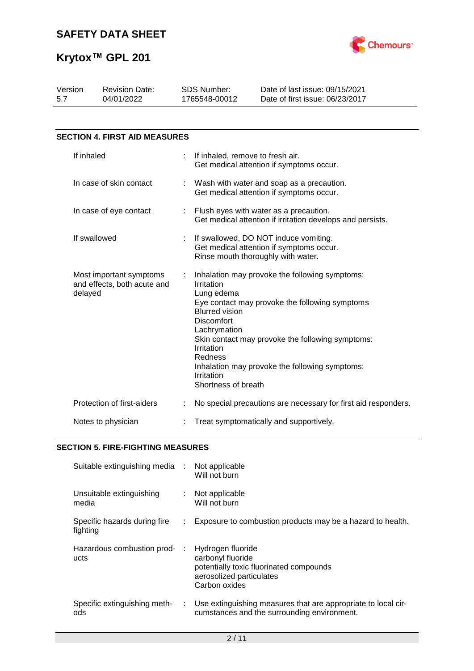

| Version<br>5.7 | <b>Revision Date:</b><br>04/01/2022                    |  | <b>SDS Number:</b><br>1765548-00012                                                                                                                         | Date of last issue: 09/15/2021<br>Date of first issue: 06/23/2017                                                                                                                                      |
|----------------|--------------------------------------------------------|--|-------------------------------------------------------------------------------------------------------------------------------------------------------------|--------------------------------------------------------------------------------------------------------------------------------------------------------------------------------------------------------|
|                |                                                        |  |                                                                                                                                                             |                                                                                                                                                                                                        |
|                | <b>SECTION 4. FIRST AID MEASURES</b>                   |  |                                                                                                                                                             |                                                                                                                                                                                                        |
| If inhaled     |                                                        |  | If inhaled, remove to fresh air.                                                                                                                            | Get medical attention if symptoms occur.                                                                                                                                                               |
|                | In case of skin contact                                |  |                                                                                                                                                             | Wash with water and soap as a precaution.<br>Get medical attention if symptoms occur.                                                                                                                  |
|                | In case of eye contact                                 |  |                                                                                                                                                             | Flush eyes with water as a precaution.<br>Get medical attention if irritation develops and persists.                                                                                                   |
|                | If swallowed                                           |  |                                                                                                                                                             | If swallowed, DO NOT induce vomiting.<br>Get medical attention if symptoms occur.<br>Rinse mouth thoroughly with water.                                                                                |
| delayed        | Most important symptoms<br>and effects, both acute and |  | Irritation<br>Lung edema<br><b>Blurred vision</b><br><b>Discomfort</b><br>Lachrymation<br>Irritation<br><b>Redness</b><br>Irritation<br>Shortness of breath | Inhalation may provoke the following symptoms:<br>Eye contact may provoke the following symptoms<br>Skin contact may provoke the following symptoms:<br>Inhalation may provoke the following symptoms: |
|                | Protection of first-aiders                             |  |                                                                                                                                                             | No special precautions are necessary for first aid responders.                                                                                                                                         |

## Notes to physician : Treat symptomatically and supportively.

## **SECTION 5. FIRE-FIGHTING MEASURES**

| Suitable extinguishing media :           |    | Not applicable<br>Will not burn                                                                                                |
|------------------------------------------|----|--------------------------------------------------------------------------------------------------------------------------------|
| Unsuitable extinguishing<br>media        |    | Not applicable<br>Will not burn                                                                                                |
| Specific hazards during fire<br>fighting |    | Exposure to combustion products may be a hazard to health.                                                                     |
| Hazardous combustion prod-<br>ucts       |    | Hydrogen fluoride<br>carbonyl fluoride<br>potentially toxic fluorinated compounds<br>aerosolized particulates<br>Carbon oxides |
| Specific extinguishing meth-<br>ods      | ÷. | Use extinguishing measures that are appropriate to local cir-<br>cumstances and the surrounding environment.                   |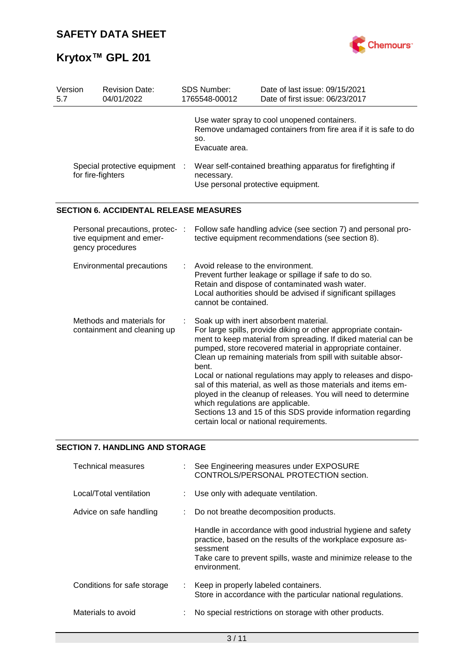

| Use water spray to cool unopened containers.                                                                                                                                                                                                                                                                                                                                                                                                                                                                                                                                                                             |  |  |
|--------------------------------------------------------------------------------------------------------------------------------------------------------------------------------------------------------------------------------------------------------------------------------------------------------------------------------------------------------------------------------------------------------------------------------------------------------------------------------------------------------------------------------------------------------------------------------------------------------------------------|--|--|
| Remove undamaged containers from fire area if it is safe to do                                                                                                                                                                                                                                                                                                                                                                                                                                                                                                                                                           |  |  |
| Wear self-contained breathing apparatus for firefighting if<br>Special protective equipment :<br>necessary.<br>Use personal protective equipment.                                                                                                                                                                                                                                                                                                                                                                                                                                                                        |  |  |
|                                                                                                                                                                                                                                                                                                                                                                                                                                                                                                                                                                                                                          |  |  |
| Follow safe handling advice (see section 7) and personal pro-<br>tective equipment recommendations (see section 8).                                                                                                                                                                                                                                                                                                                                                                                                                                                                                                      |  |  |
| Prevent further leakage or spillage if safe to do so.<br>Retain and dispose of contaminated wash water.<br>Local authorities should be advised if significant spillages                                                                                                                                                                                                                                                                                                                                                                                                                                                  |  |  |
| Soak up with inert absorbent material.<br>For large spills, provide diking or other appropriate contain-<br>ment to keep material from spreading. If diked material can be<br>pumped, store recovered material in appropriate container.<br>Clean up remaining materials from spill with suitable absor-<br>Local or national regulations may apply to releases and dispo-<br>sal of this material, as well as those materials and items em-<br>ployed in the cleanup of releases. You will need to determine<br>Sections 13 and 15 of this SDS provide information regarding<br>certain local or national requirements. |  |  |
|                                                                                                                                                                                                                                                                                                                                                                                                                                                                                                                                                                                                                          |  |  |

# **SECTION 7. HANDLING AND STORAGE**

| <b>Technical measures</b>   | : See Engineering measures under EXPOSURE<br>CONTROLS/PERSONAL PROTECTION section.                                                                                                                                         |
|-----------------------------|----------------------------------------------------------------------------------------------------------------------------------------------------------------------------------------------------------------------------|
| Local/Total ventilation     | : Use only with adequate ventilation.                                                                                                                                                                                      |
| Advice on safe handling     | Do not breathe decomposition products.                                                                                                                                                                                     |
|                             | Handle in accordance with good industrial hygiene and safety<br>practice, based on the results of the workplace exposure as-<br>sessment<br>Take care to prevent spills, waste and minimize release to the<br>environment. |
| Conditions for safe storage | : Keep in properly labeled containers.<br>Store in accordance with the particular national regulations.                                                                                                                    |
| Materials to avoid          | No special restrictions on storage with other products.                                                                                                                                                                    |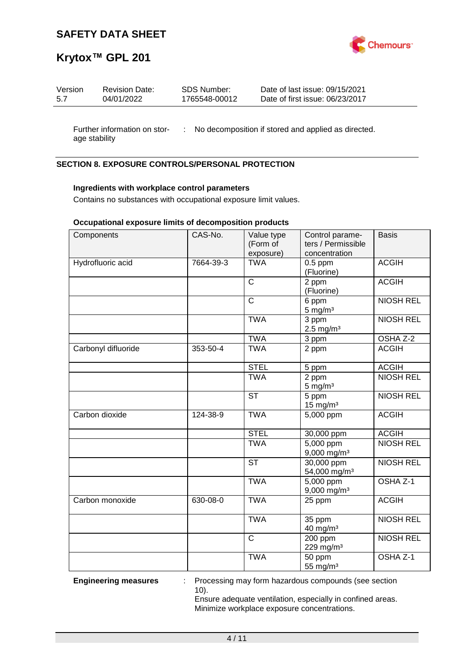

# **Krytox™ GPL 201**

| Version | <b>Revision Date:</b> | SDS Number:   | Date of last issue: 09/15/2021  |
|---------|-----------------------|---------------|---------------------------------|
| 5.7     | 04/01/2022            | 1765548-00012 | Date of first issue: 06/23/2017 |
|         |                       |               |                                 |

age stability

Further information on stor- : No decomposition if stored and applied as directed.

## **SECTION 8. EXPOSURE CONTROLS/PERSONAL PROTECTION**

### **Ingredients with workplace control parameters**

Contains no substances with occupational exposure limit values.

### **Occupational exposure limits of decomposition products**

| Components          | CAS-No.   | Value type<br>(Form of<br>exposure) | Control parame-<br>ters / Permissible<br>concentration | <b>Basis</b>        |
|---------------------|-----------|-------------------------------------|--------------------------------------------------------|---------------------|
| Hydrofluoric acid   | 7664-39-3 | <b>TWA</b>                          | $0.5$ ppm<br>(Fluorine)                                | <b>ACGIH</b>        |
|                     |           | $\mathsf{C}$                        | 2 ppm<br>(Fluorine)                                    | <b>ACGIH</b>        |
|                     |           | $\mathsf{C}$                        | 6 ppm<br>$5 \text{ mg/m}^3$                            | <b>NIOSH REL</b>    |
|                     |           | <b>TWA</b>                          | $\overline{3}$ ppm<br>$2.5$ mg/m <sup>3</sup>          | <b>NIOSH REL</b>    |
|                     |           | <b>TWA</b>                          | 3 ppm                                                  | OSHA Z-2            |
| Carbonyl difluoride | 353-50-4  | <b>TWA</b>                          | 2 ppm                                                  | <b>ACGIH</b>        |
|                     |           | <b>STEL</b>                         | 5 ppm                                                  | <b>ACGIH</b>        |
|                     |           | <b>TWA</b>                          | 2 ppm<br>$5 \text{ mg/m}^3$                            | <b>NIOSH REL</b>    |
|                     |           | <b>ST</b>                           | 5 ppm<br>$15 \text{ mg/m}^3$                           | <b>NIOSH REL</b>    |
| Carbon dioxide      | 124-38-9  | <b>TWA</b>                          | 5,000 ppm                                              | <b>ACGIH</b>        |
|                     |           | <b>STEL</b>                         | 30,000 ppm                                             | <b>ACGIH</b>        |
|                     |           | <b>TWA</b>                          | $5,000$ ppm<br>9,000 mg/m <sup>3</sup>                 | <b>NIOSH REL</b>    |
|                     |           | $\overline{\text{ST}}$              | $30,000$ ppm<br>54,000 mg/m <sup>3</sup>               | <b>NIOSH REL</b>    |
|                     |           | <b>TWA</b>                          | $\overline{5,000}$ ppm<br>9,000 mg/m <sup>3</sup>      | OSHA <sub>Z-1</sub> |
| Carbon monoxide     | 630-08-0  | <b>TWA</b>                          | 25 ppm                                                 | <b>ACGIH</b>        |
|                     |           | <b>TWA</b>                          | 35 ppm<br>40 mg/m <sup>3</sup>                         | <b>NIOSH REL</b>    |
|                     |           | $\mathsf{C}$                        | 200 ppm<br>229 mg/m <sup>3</sup>                       | <b>NIOSH REL</b>    |
|                     |           | <b>TWA</b>                          | 50 ppm<br>55 mg/m <sup>3</sup>                         | OSHA Z-1            |

**Engineering measures** : Processing may form hazardous compounds (see section 10).

Ensure adequate ventilation, especially in confined areas. Minimize workplace exposure concentrations.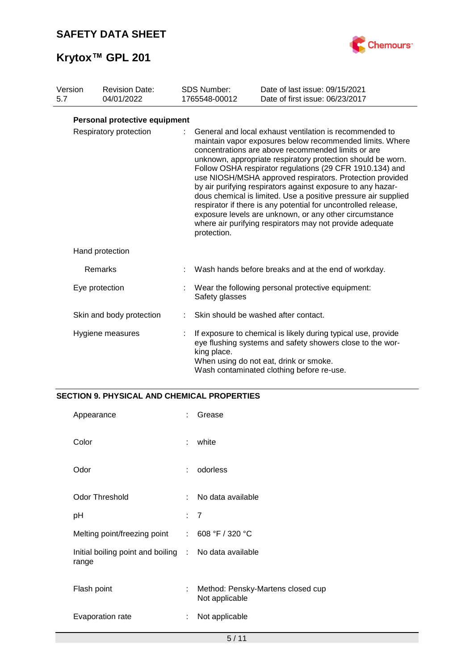

| Version<br>5.7         |  | <b>Revision Date:</b><br>04/01/2022                                                                                                                                                                                                                                                                                                                                                                                                                                                                                                                                                                                                                                                                      | <b>SDS Number:</b><br>1765548-00012 | Date of last issue: 09/15/2021<br>Date of first issue: 06/23/2017                                                                                                                                                 |
|------------------------|--|----------------------------------------------------------------------------------------------------------------------------------------------------------------------------------------------------------------------------------------------------------------------------------------------------------------------------------------------------------------------------------------------------------------------------------------------------------------------------------------------------------------------------------------------------------------------------------------------------------------------------------------------------------------------------------------------------------|-------------------------------------|-------------------------------------------------------------------------------------------------------------------------------------------------------------------------------------------------------------------|
|                        |  | Personal protective equipment                                                                                                                                                                                                                                                                                                                                                                                                                                                                                                                                                                                                                                                                            |                                     |                                                                                                                                                                                                                   |
| Respiratory protection |  | General and local exhaust ventilation is recommended to<br>maintain vapor exposures below recommended limits. Where<br>concentrations are above recommended limits or are<br>unknown, appropriate respiratory protection should be worn.<br>Follow OSHA respirator regulations (29 CFR 1910.134) and<br>use NIOSH/MSHA approved respirators. Protection provided<br>by air purifying respirators against exposure to any hazar-<br>dous chemical is limited. Use a positive pressure air supplied<br>respirator if there is any potential for uncontrolled release,<br>exposure levels are unknown, or any other circumstance<br>where air purifying respirators may not provide adequate<br>protection. |                                     |                                                                                                                                                                                                                   |
|                        |  | Hand protection                                                                                                                                                                                                                                                                                                                                                                                                                                                                                                                                                                                                                                                                                          |                                     |                                                                                                                                                                                                                   |
|                        |  | Remarks                                                                                                                                                                                                                                                                                                                                                                                                                                                                                                                                                                                                                                                                                                  |                                     | Wash hands before breaks and at the end of workday.                                                                                                                                                               |
|                        |  | Eye protection                                                                                                                                                                                                                                                                                                                                                                                                                                                                                                                                                                                                                                                                                           | Safety glasses                      | Wear the following personal protective equipment:                                                                                                                                                                 |
|                        |  | Skin and body protection                                                                                                                                                                                                                                                                                                                                                                                                                                                                                                                                                                                                                                                                                 |                                     | Skin should be washed after contact.                                                                                                                                                                              |
|                        |  | Hygiene measures                                                                                                                                                                                                                                                                                                                                                                                                                                                                                                                                                                                                                                                                                         | king place.                         | If exposure to chemical is likely during typical use, provide<br>eye flushing systems and safety showers close to the wor-<br>When using do not eat, drink or smoke.<br>Wash contaminated clothing before re-use. |

## **SECTION 9. PHYSICAL AND CHEMICAL PROPERTIES**

| Appearance                                                     |    | Grease                                              |
|----------------------------------------------------------------|----|-----------------------------------------------------|
| Color                                                          | t  | white                                               |
| Odor                                                           | ÷  | odorless                                            |
| <b>Odor Threshold</b>                                          | t. | No data available                                   |
| рH                                                             |    | : 7                                                 |
| Melting point/freezing point : 608 °F / 320 °C                 |    |                                                     |
| Initial boiling point and boiling : No data available<br>range |    |                                                     |
| Flash point                                                    | ÷  | Method: Pensky-Martens closed cup<br>Not applicable |
| Evaporation rate                                               | t  | Not applicable                                      |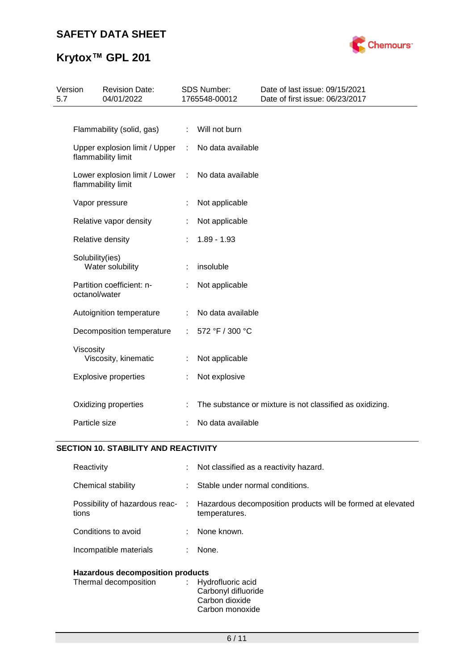

# **Krytox™ GPL 201**

| 5.7 | Version<br><b>Revision Date:</b><br>04/01/2022      |   | SDS Number:<br>1765548-00012 | Date of last issue: 09/15/2021<br>Date of first issue: 06/23/2017 |
|-----|-----------------------------------------------------|---|------------------------------|-------------------------------------------------------------------|
|     |                                                     |   |                              |                                                                   |
|     | Flammability (solid, gas)                           | ÷ | Will not burn                |                                                                   |
|     | Upper explosion limit / Upper<br>flammability limit | ÷ | No data available            |                                                                   |
|     | Lower explosion limit / Lower<br>flammability limit | ÷ | No data available            |                                                                   |
|     | Vapor pressure                                      |   | Not applicable               |                                                                   |
|     | Relative vapor density                              |   | Not applicable               |                                                                   |
|     | Relative density                                    |   | $1.89 - 1.93$                |                                                                   |
|     | Solubility(ies)<br>Water solubility                 |   | insoluble                    |                                                                   |
|     | Partition coefficient: n-<br>octanol/water          |   | Not applicable               |                                                                   |
|     | Autoignition temperature                            |   | No data available            |                                                                   |
|     | Decomposition temperature                           |   | 572 °F / 300 °C              |                                                                   |
|     | Viscosity<br>Viscosity, kinematic                   |   | Not applicable               |                                                                   |
|     | <b>Explosive properties</b>                         |   | Not explosive                |                                                                   |
|     | Oxidizing properties                                |   |                              | The substance or mixture is not classified as oxidizing.          |
|     | Particle size                                       |   | No data available            |                                                                   |

# **SECTION 10. STABILITY AND REACTIVITY**

| Reactivity                              | t. | Not classified as a reactivity hazard.                                       |
|-----------------------------------------|----|------------------------------------------------------------------------------|
| Chemical stability                      | ÷. | Stable under normal conditions.                                              |
| Possibility of hazardous reac-<br>tions | ÷. | Hazardous decomposition products will be formed at elevated<br>temperatures. |
| Conditions to avoid                     | t. | None known.                                                                  |
| Incompatible materials                  | ÷. | None.                                                                        |
|                                         |    |                                                                              |

# **Hazardous decomposition products**

| Thermal decomposition | : Hydrofluoric acid<br>Carbonyl difluoride |
|-----------------------|--------------------------------------------|
|                       | Carbon dioxide                             |
|                       | Carbon monoxide                            |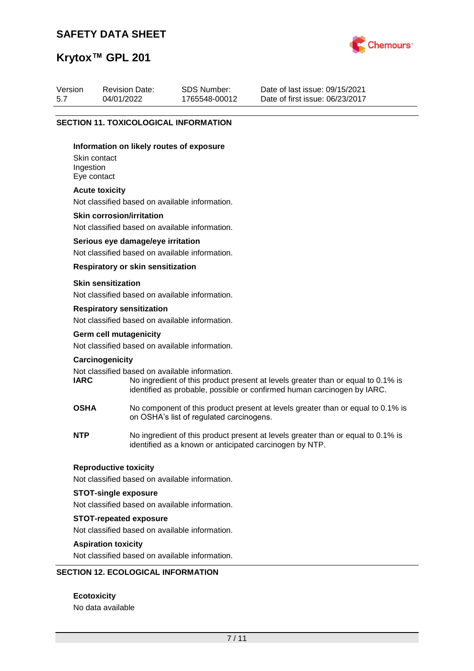

# **Krytox™ GPL 201**

| Version | <b>Revision Date:</b> | SDS Number:   | Date of last issue: 09/15/2021  |
|---------|-----------------------|---------------|---------------------------------|
| 5.7     | 04/01/2022            | 1765548-00012 | Date of first issue: 06/23/2017 |

### **SECTION 11. TOXICOLOGICAL INFORMATION**

#### **Information on likely routes of exposure**

Skin contact Ingestion Eye contact

#### **Acute toxicity**

Not classified based on available information.

#### **Skin corrosion/irritation**

Not classified based on available information.

#### **Serious eye damage/eye irritation**

Not classified based on available information.

### **Respiratory or skin sensitization**

#### **Skin sensitization**

Not classified based on available information.

#### **Respiratory sensitization**

Not classified based on available information.

# **Germ cell mutagenicity**

Not classified based on available information.

#### **Carcinogenicity**

Not classified based on available information.<br> **IARC** No ingredient of this product to

- No ingredient of this product present at levels greater than or equal to 0.1% is identified as probable, possible or confirmed human carcinogen by IARC.
- **OSHA** No component of this product present at levels greater than or equal to 0.1% is on OSHA's list of regulated carcinogens.
- **NTP** No ingredient of this product present at levels greater than or equal to 0.1% is identified as a known or anticipated carcinogen by NTP.

#### **Reproductive toxicity**

Not classified based on available information.

### **STOT-single exposure**

Not classified based on available information.

#### **STOT-repeated exposure**

Not classified based on available information.

### **Aspiration toxicity**

Not classified based on available information.

### **SECTION 12. ECOLOGICAL INFORMATION**

**Ecotoxicity** No data available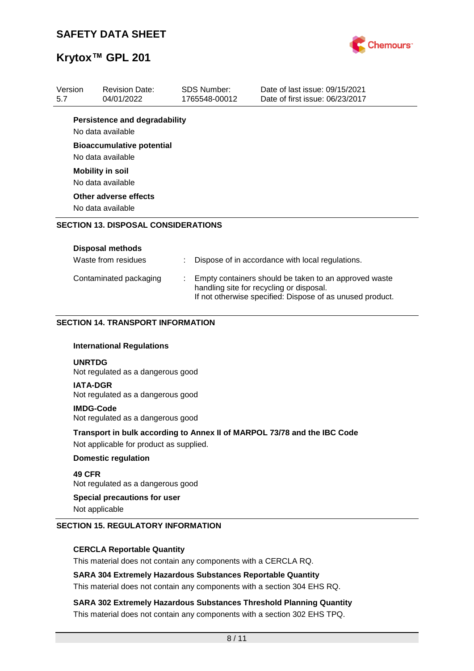

| 5.7             | <b>Revision Date:</b><br>04/01/2022                                          |                                                                                                                                                                | <b>SDS Number:</b><br>1765548-00012 | Date of last issue: 09/15/2021<br>Date of first issue: 06/23/2017        |
|-----------------|------------------------------------------------------------------------------|----------------------------------------------------------------------------------------------------------------------------------------------------------------|-------------------------------------|--------------------------------------------------------------------------|
|                 | <b>Persistence and degradability</b><br>No data available                    |                                                                                                                                                                |                                     |                                                                          |
|                 | <b>Bioaccumulative potential</b><br>No data available                        |                                                                                                                                                                |                                     |                                                                          |
|                 | <b>Mobility in soil</b><br>No data available                                 |                                                                                                                                                                |                                     |                                                                          |
|                 | Other adverse effects<br>No data available                                   |                                                                                                                                                                |                                     |                                                                          |
|                 | <b>SECTION 13. DISPOSAL CONSIDERATIONS</b>                                   |                                                                                                                                                                |                                     |                                                                          |
|                 | <b>Disposal methods</b>                                                      |                                                                                                                                                                |                                     |                                                                          |
|                 | Waste from residues                                                          |                                                                                                                                                                |                                     | Dispose of in accordance with local regulations.                         |
|                 | Contaminated packaging                                                       | Empty containers should be taken to an approved waste<br>handling site for recycling or disposal.<br>If not otherwise specified: Dispose of as unused product. |                                     |                                                                          |
|                 | <b>SECTION 14. TRANSPORT INFORMATION</b><br><b>International Regulations</b> |                                                                                                                                                                |                                     |                                                                          |
| <b>UNRTDG</b>   | Not regulated as a dangerous good                                            |                                                                                                                                                                |                                     |                                                                          |
|                 |                                                                              |                                                                                                                                                                |                                     |                                                                          |
| <b>IATA-DGR</b> | Not regulated as a dangerous good                                            |                                                                                                                                                                |                                     |                                                                          |
|                 | <b>IMDG-Code</b><br>Not regulated as a dangerous good                        |                                                                                                                                                                |                                     |                                                                          |
|                 | Not applicable for product as supplied.                                      |                                                                                                                                                                |                                     | Transport in bulk according to Annex II of MARPOL 73/78 and the IBC Code |
|                 | <b>Domestic regulation</b>                                                   |                                                                                                                                                                |                                     |                                                                          |
| 49 CFR          | Not regulated as a dangerous good                                            |                                                                                                                                                                |                                     |                                                                          |

### **CERCLA Reportable Quantity**

This material does not contain any components with a CERCLA RQ.

### **SARA 304 Extremely Hazardous Substances Reportable Quantity**

This material does not contain any components with a section 304 EHS RQ.

**SARA 302 Extremely Hazardous Substances Threshold Planning Quantity** This material does not contain any components with a section 302 EHS TPQ.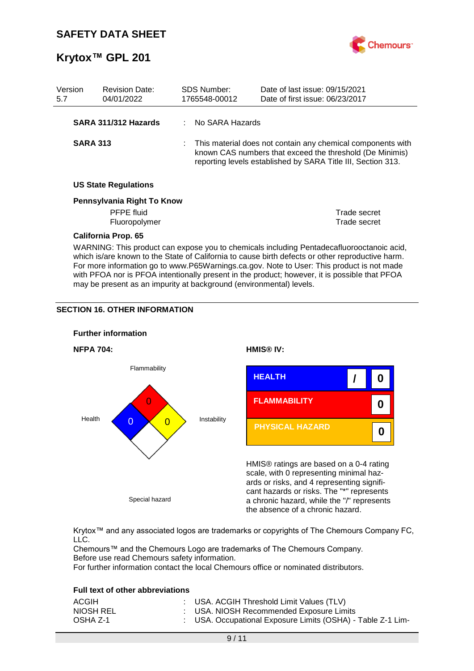

| Version<br>5.7 |                                                                                                                                                                                                                                                                                            | <b>Revision Date:</b><br>04/01/2022 |  | <b>SDS Number:</b><br>1765548-00012                                                                                                                                                       | Date of last issue: 09/15/2021<br>Date of first issue: 06/23/2017 |  |
|----------------|--------------------------------------------------------------------------------------------------------------------------------------------------------------------------------------------------------------------------------------------------------------------------------------------|-------------------------------------|--|-------------------------------------------------------------------------------------------------------------------------------------------------------------------------------------------|-------------------------------------------------------------------|--|
|                |                                                                                                                                                                                                                                                                                            | SARA 311/312 Hazards                |  | No SARA Hazards                                                                                                                                                                           |                                                                   |  |
|                | <b>SARA 313</b>                                                                                                                                                                                                                                                                            |                                     |  | : This material does not contain any chemical components with<br>known CAS numbers that exceed the threshold (De Minimis)<br>reporting levels established by SARA Title III, Section 313. |                                                                   |  |
|                |                                                                                                                                                                                                                                                                                            | <b>US State Regulations</b>         |  |                                                                                                                                                                                           |                                                                   |  |
|                |                                                                                                                                                                                                                                                                                            | Pennsylvania Right To Know          |  |                                                                                                                                                                                           |                                                                   |  |
|                |                                                                                                                                                                                                                                                                                            | PFPE fluid                          |  |                                                                                                                                                                                           | Trade secret                                                      |  |
|                |                                                                                                                                                                                                                                                                                            | Fluoropolymer                       |  |                                                                                                                                                                                           | Trade secret                                                      |  |
|                |                                                                                                                                                                                                                                                                                            | <b>California Prop. 65</b>          |  |                                                                                                                                                                                           |                                                                   |  |
|                | WARNING: This product can expose you to chemicals including Pentadecafluorooctanoic acid,<br>which is/are known to the State of California to cause birth defects or other reproductive harm.<br>For more information go to www.P65Warnings.ca.gov. Note to User: This product is not made |                                     |  |                                                                                                                                                                                           |                                                                   |  |

with PFOA nor is PFOA intentionally present in the product; however, it is possible that PFOA

may be present as an impurity at background (environmental) levels.

### **SECTION 16. OTHER INFORMATION**



Krytox™ and any associated logos are trademarks or copyrights of The Chemours Company FC, LLC.

Chemours™ and the Chemours Logo are trademarks of The Chemours Company. Before use read Chemours safety information.

For further information contact the local Chemours office or nominated distributors.

### **Full text of other abbreviations**

| ACGIH     | : USA. ACGIH Threshold Limit Values (TLV)                   |
|-----------|-------------------------------------------------------------|
| NIOSH REL | : USA. NIOSH Recommended Exposure Limits                    |
| OSHA Z-1  | : USA. Occupational Exposure Limits (OSHA) - Table Z-1 Lim- |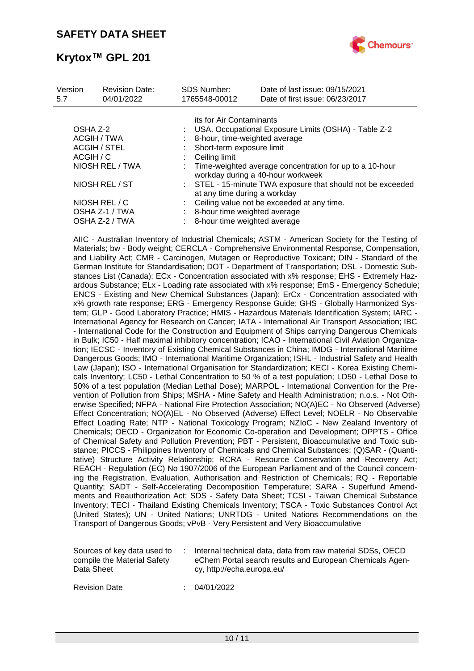

| Version<br>5.7      | <b>Revision Date:</b><br>04/01/2022 | <b>SDS Number:</b><br>1765548-00012                                                          | Date of last issue: 09/15/2021<br>Date of first issue: 06/23/2017 |  |  |  |  |
|---------------------|-------------------------------------|----------------------------------------------------------------------------------------------|-------------------------------------------------------------------|--|--|--|--|
|                     |                                     | its for Air Contaminants                                                                     |                                                                   |  |  |  |  |
| OSHA Z-2            |                                     | USA. Occupational Exposure Limits (OSHA) - Table Z-2                                         |                                                                   |  |  |  |  |
| ACGIH / TWA         |                                     | 8-hour, time-weighted average                                                                |                                                                   |  |  |  |  |
| <b>ACGIH / STEL</b> |                                     | Short-term exposure limit                                                                    |                                                                   |  |  |  |  |
| ACGIH / C           |                                     | Ceiling limit                                                                                |                                                                   |  |  |  |  |
| NIOSH REL / TWA     |                                     | Time-weighted average concentration for up to a 10-hour<br>workday during a 40-hour workweek |                                                                   |  |  |  |  |
| NIOSH REL / ST      |                                     | : STEL - 15-minute TWA exposure that should not be exceeded<br>at any time during a workday  |                                                                   |  |  |  |  |
|                     | NIOSH REL / C                       |                                                                                              | Ceiling value not be exceeded at any time.                        |  |  |  |  |
| OSHA Z-1 / TWA      |                                     | 8-hour time weighted average                                                                 |                                                                   |  |  |  |  |
|                     | OSHA Z-2 / TWA                      | 8-hour time weighted average                                                                 |                                                                   |  |  |  |  |

AIIC - Australian Inventory of Industrial Chemicals; ASTM - American Society for the Testing of Materials; bw - Body weight; CERCLA - Comprehensive Environmental Response, Compensation, and Liability Act; CMR - Carcinogen, Mutagen or Reproductive Toxicant; DIN - Standard of the German Institute for Standardisation; DOT - Department of Transportation; DSL - Domestic Substances List (Canada); ECx - Concentration associated with x% response; EHS - Extremely Hazardous Substance; ELx - Loading rate associated with x% response; EmS - Emergency Schedule; ENCS - Existing and New Chemical Substances (Japan); ErCx - Concentration associated with x% growth rate response; ERG - Emergency Response Guide; GHS - Globally Harmonized System; GLP - Good Laboratory Practice; HMIS - Hazardous Materials Identification System; IARC - International Agency for Research on Cancer; IATA - International Air Transport Association; IBC - International Code for the Construction and Equipment of Ships carrying Dangerous Chemicals in Bulk; IC50 - Half maximal inhibitory concentration; ICAO - International Civil Aviation Organization; IECSC - Inventory of Existing Chemical Substances in China; IMDG - International Maritime Dangerous Goods; IMO - International Maritime Organization; ISHL - Industrial Safety and Health Law (Japan); ISO - International Organisation for Standardization; KECI - Korea Existing Chemicals Inventory; LC50 - Lethal Concentration to 50 % of a test population; LD50 - Lethal Dose to 50% of a test population (Median Lethal Dose); MARPOL - International Convention for the Prevention of Pollution from Ships; MSHA - Mine Safety and Health Administration; n.o.s. - Not Otherwise Specified; NFPA - National Fire Protection Association; NO(A)EC - No Observed (Adverse) Effect Concentration; NO(A)EL - No Observed (Adverse) Effect Level; NOELR - No Observable Effect Loading Rate; NTP - National Toxicology Program; NZIoC - New Zealand Inventory of Chemicals; OECD - Organization for Economic Co-operation and Development; OPPTS - Office of Chemical Safety and Pollution Prevention; PBT - Persistent, Bioaccumulative and Toxic substance; PICCS - Philippines Inventory of Chemicals and Chemical Substances; (Q)SAR - (Quantitative) Structure Activity Relationship; RCRA - Resource Conservation and Recovery Act; REACH - Regulation (EC) No 1907/2006 of the European Parliament and of the Council concerning the Registration, Evaluation, Authorisation and Restriction of Chemicals; RQ - Reportable Quantity; SADT - Self-Accelerating Decomposition Temperature; SARA - Superfund Amendments and Reauthorization Act; SDS - Safety Data Sheet; TCSI - Taiwan Chemical Substance Inventory; TECI - Thailand Existing Chemicals Inventory; TSCA - Toxic Substances Control Act (United States); UN - United Nations; UNRTDG - United Nations Recommendations on the Transport of Dangerous Goods; vPvB - Very Persistent and Very Bioaccumulative

| Sources of key data used to<br>compile the Material Safety<br>Data Sheet |  | Internal technical data, data from raw material SDSs, OECD<br>eChem Portal search results and European Chemicals Agen-<br>cy, http://echa.europa.eu/ |
|--------------------------------------------------------------------------|--|------------------------------------------------------------------------------------------------------------------------------------------------------|
|--------------------------------------------------------------------------|--|------------------------------------------------------------------------------------------------------------------------------------------------------|

Revision Date : 04/01/2022